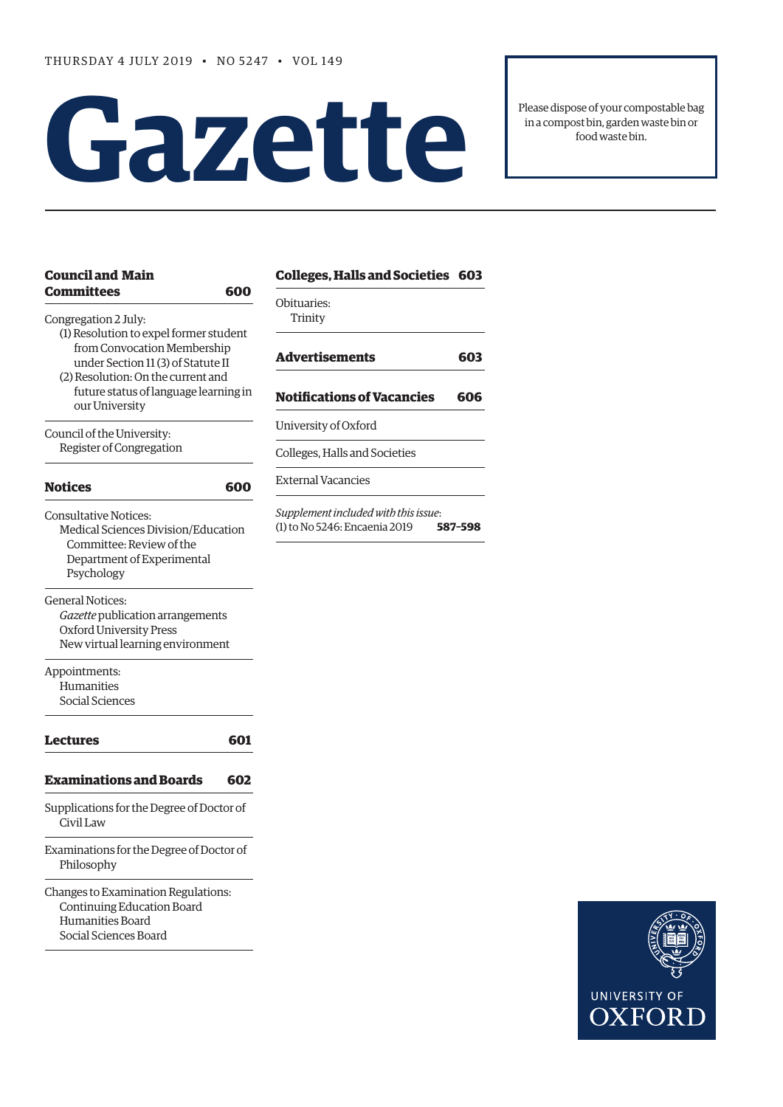# **Gazet te**

Please dispose of your compostable bag in a compost bin, garden waste bin or food waste bin.

| <b>Council and Main</b>                                                                                                                           | <b>Colleges, Halls and Societies 603</b>                                         |
|---------------------------------------------------------------------------------------------------------------------------------------------------|----------------------------------------------------------------------------------|
| <b>Committees</b><br>600<br>Congregation 2 July:                                                                                                  | Obituaries:<br>Trinity                                                           |
| (1) Resolution to expel former student<br>from Convocation Membership<br>under Section 11 (3) of Statute II<br>(2) Resolution: On the current and | <b>Advertisements</b><br>603                                                     |
| future status of language learning in<br>our University                                                                                           | <b>Notifications of Vacancies</b><br>606                                         |
| Council of the University:<br>Register of Congregation                                                                                            | University of Oxford                                                             |
|                                                                                                                                                   | Colleges, Halls and Societies                                                    |
| <b>Notices</b><br>600                                                                                                                             | <b>External Vacancies</b>                                                        |
| <b>Consultative Notices:</b><br>Medical Sciences Division/Education<br>Committee: Review of the<br>Department of Experimental<br>Psychology       | Supplement included with this issue:<br>(1) to No 5246: Encaenia 2019<br>587-598 |
| General Notices:<br>Gazette publication arrangements<br>Oxford University Press<br>New virtual learning environment                               |                                                                                  |
| Appointments:<br>Humanities<br>Social Sciences                                                                                                    |                                                                                  |
| Lectures                                                                                                                                          | 601                                                                              |
| <b>Examinations and Boards</b><br>602                                                                                                             |                                                                                  |
| Supplications for the Degree of Doctor of<br>Civil Law                                                                                            |                                                                                  |
| Examinations for the Degree of Doctor of<br>Philosophy                                                                                            |                                                                                  |
| Changes to Examination Regulations:<br>Continuing Education Board<br>Humanities Board                                                             |                                                                                  |

[Social Sciences Board](#page-3-0)

### **[C](#page-4-0)[olleges, Halls and Societies 6](#page-3-0)[03](#page-4-0)**

**[Advertisements 603](#page-4-0)**

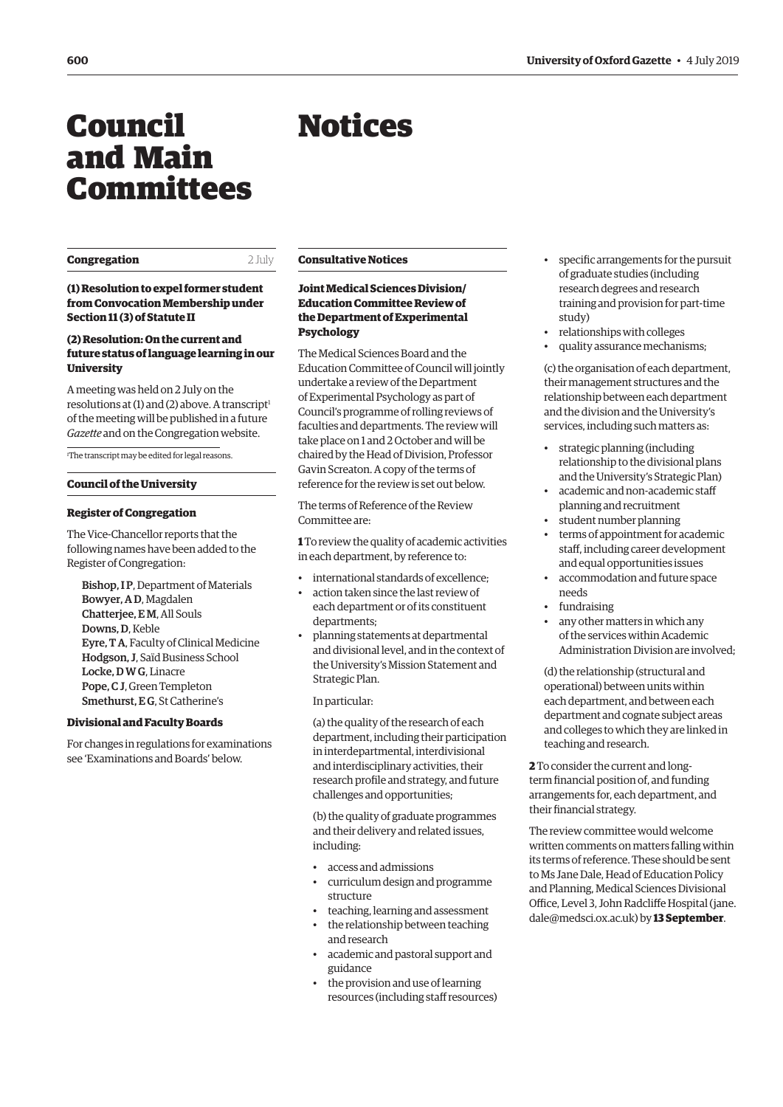## <span id="page-1-0"></span>Council and Main Committees

#### **Congregation** 2 July

#### **(1) Resolution to expel former student from Convocation Membership under Section 11 (3) of Statute II**

#### **(2) Resolution: On the current and future status of language learning in our University**

A meeting was held on 2 July on the resolutions at  $(1)$  and  $(2)$  above. A transcript<sup>1</sup> of the meeting will be published in a future *Gazette* and on the Congregation website.

1 The transcript may be edited for legal reasons.

#### **Council of the University**

#### **Register of Congregation**

The Vice-Chancellor reports that the following names have been added to the Register of Congregation:

Bishop, I P, Department of Materials Bowyer, A D, Magdalen Chatterjee, E M, All Souls Downs, D, Keble Eyre, T A, Faculty of Clinical Medicine Hodgson, J, Saïd Business School Locke, D W G, Linacre Pope, C J, Green Templeton Smethurst, EG, St Catherine's

#### **Divisional and Faculty Boards**

For changes in regulations for examinations see ['Examinations and Boards' b](#page-3-0)elow.

#### **Consultative Notices**

#### **Joint Medical Sciences Division/ Education Committee Review of the Department of Experimental Psychology**

The Medical Sciences Board and the Education Committee of Council will jointly undertake a review of the Department of Experimental Psychology as part of Council's programme of rolling reviews of faculties and departments. The review will take place on 1 and 2 October and will be chaired by the Head of Division, Professor Gavin Screaton. A copy of the terms of reference for the review is set out below.

The terms of Reference of the Review Committee are:

**1** To review the quality of academic activities in each department, by reference to:

- international standards of excellence;
- action taken since the last review of each department or of its constituent departments;
- planning statements at departmental and divisional level, and in the context of the University's Mission Statement and Strategic Plan.

In particular:

(a) the quality of the research of each department, including their participation in interdepartmental, interdivisional and interdisciplinary activities, their research profile and strategy, and future challenges and opportunities;

(b) the quality of graduate programmes and their delivery and related issues, including:

- access and admissions
- curriculum design and programme structure
- teaching, learning and assessment • the relationship between teaching and research
- academic and pastoral support and guidance
- the provision and use of learning resources (including staff resources)
- specific arrangements for the pursuit of graduate studies (including research degrees and research training and provision for part-time study)
- relationships with colleges
- quality assurance mechanisms;

(c) the organisation of each department, their management structures and the relationship between each department and the division and the University's services, including such matters as:

- strategic planning (including relationship to the divisional plans and the University's Strategic Plan)
- academic and non-academic staff planning and recruitment
- student number planning
- terms of appointment for academic staff, including career development and equal opportunities issues
- accommodation and future space needs
- fundraising
- any other matters in which any of the services within Academic Administration Division are involved;

(d) the relationship (structural and operational) between units within each department, and between each department and cognate subject areas and colleges to which they are linked in teaching and research.

**2** To consider the current and longterm financial position of, and funding arrangements for, each department, and their financial strategy.

The review committee would welcome written comments on matters falling within its terms of reference. These should be sent to Ms Jane Dale, Head of Education Policy and Planning, Medical Sciences Divisional [Office, Level 3, John Radcliffe Hospital \(jane.](mailto:jane.dale@medsci.ox.ac.uk) dale@medsci.ox.ac.uk) by **13 September**.

## Notices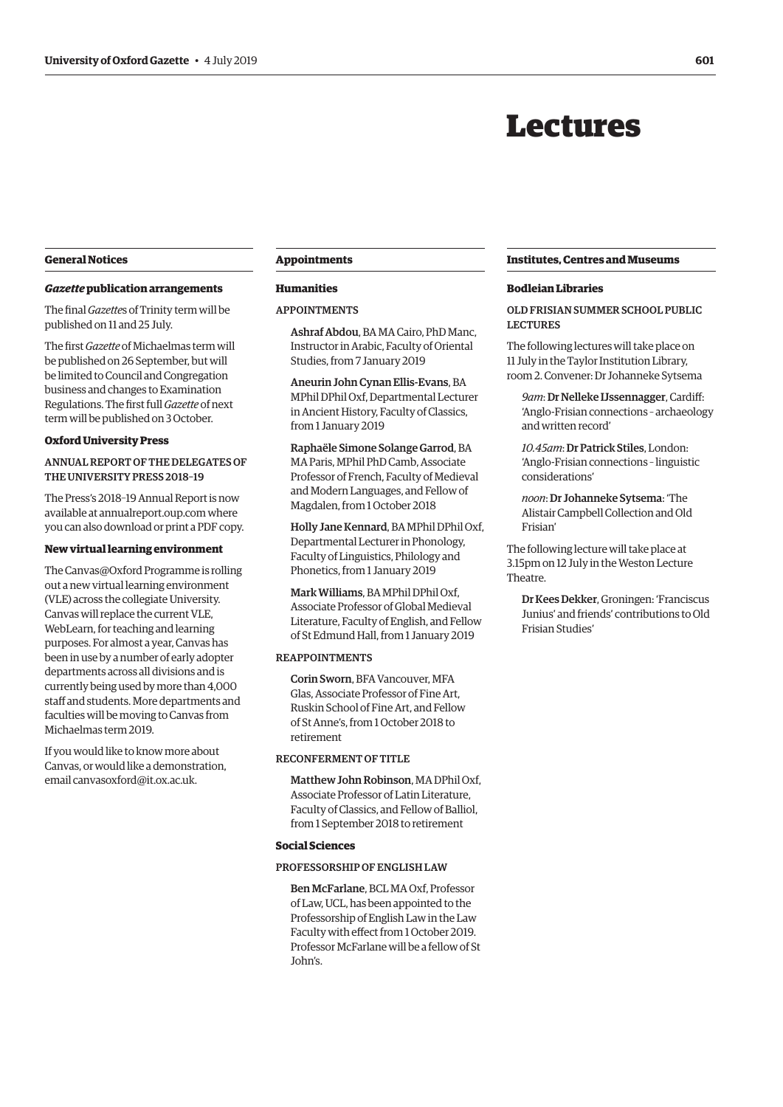## Lectures

#### <span id="page-2-0"></span>**General Notices**

#### *Gazette* **publication arrangements**

The final *Gazette*s of Trinity term will be published on 11 and 25 July.

The first *Gazette* of Michaelmas term will be published on 26 September, but will be limited to Council and Congregation business and changes to Examination Regulations. The first full *Gazette* of next term will be published on 3 October.

#### **Oxford University Press**

ANNUAL REPORT OF THE DELEGATES OF THE UNIVERSITY PRESS 2018–19

The Press's 2018–19 Annual Report is now available at [annualreport.oup.com](http://annualreport.oup.com) where you can also download or print a PDF copy.

#### **New virtual learning environment**

The Canvas@Oxford Programme is rolling out a new virtual learning environment (VLE) across the collegiate University. Canvas will replace the current VLE, WebLearn, for teaching and learning purposes. For almost a year, Canvas has been in use by a number of early adopter departments across all divisions and is currently being used by more than 4,000 staff and students. More departments and faculties will be moving to Canvas from Michaelmas term 2019.

If you would like to know more about Canvas, or would like a demonstration, email [canvasoxford@it.ox.ac.uk.](mailto:canvasoxford@it.ox.ac.uk)

#### **Appointments**

#### **Humanities**

#### APPOINTMENTS

Ashraf Abdou, BA MA Cairo, PhD Manc, Instructor in Arabic, Faculty of Oriental Studies, from 7 January 2019

Aneurin John Cynan Ellis-Evans, BA MPhil DPhil Oxf, Departmental Lecturer in Ancient History, Faculty of Classics, from 1 January 2019

Raphaële Simone Solange Garrod, BA MA Paris, MPhil PhD Camb, Associate Professor of French, Faculty of Medieval and Modern Languages, and Fellow of Magdalen, from 1 October 2018

Holly Jane Kennard, BA MPhil DPhil Oxf, Departmental Lecturer in Phonology, Faculty of Linguistics, Philology and Phonetics, from 1 January 2019

Mark Williams, BA MPhil DPhil Oxf, Associate Professor of Global Medieval Literature, Faculty of English, and Fellow of St Edmund Hall, from 1 January 2019

#### REAPPOINTMENTS

Corin Sworn, BFA Vancouver, MFA Glas, Associate Professor of Fine Art, Ruskin School of Fine Art, and Fellow of St Anne's, from 1 October 2018 to retirement

RECONFERMENT OF TITLE

Matthew John Robinson, MA DPhil Oxf, Associate Professor of Latin Literature, Faculty of Classics, and Fellow of Balliol, from 1 September 2018 to retirement

#### **Social Sciences**

#### PROFESSORSHIP OF ENGLISH LAW

Ben McFarlane, BCL MA Oxf, Professor of Law, UCL, has been appointed to the Professorship of English Law in the Law Faculty with effect from 1 October 2019. Professor McFarlane will be a fellow of St John's.

#### **Institutes, Centres and Museums**

#### **Bodleian Libraries**

OLD FRISIAN SUMMER SCHOOL PUBLIC LECTURES

The following lectures will take place on 11 July in the Taylor Institution Library, room 2. Convener: Dr Johanneke Sytsema

*9am*: Dr Nelleke IJssennagger, Cardiff: 'Anglo-Frisian connections – archaeology and written record'

*10.45am*: Dr Patrick Stiles, London: 'Anglo-Frisian connections – linguistic considerations'

*noon*: Dr Johanneke Sytsema: 'The Alistair Campbell Collection and Old Frisian'

The following lecture will take place at 3.15pm on 12 July in the Weston Lecture Theatre.

Dr Kees Dekker, Groningen: 'Franciscus Junius' and friends' contributions to Old Frisian Studies'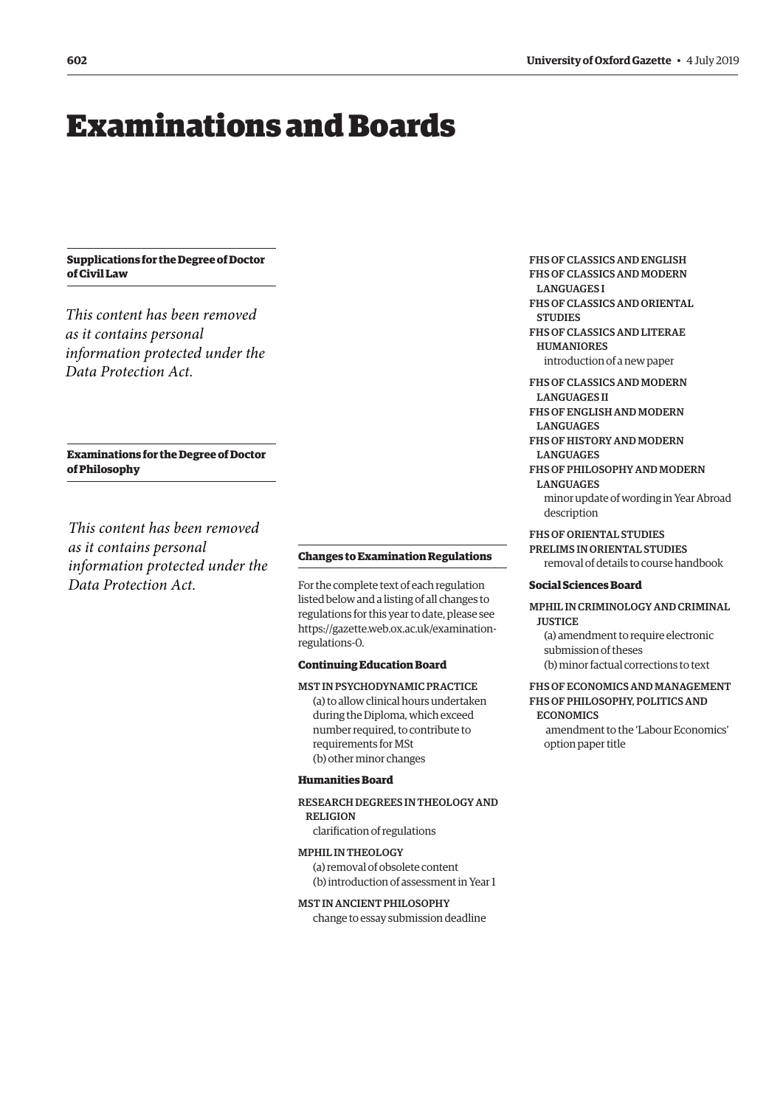## <span id="page-3-0"></span>Examinations and Boards

#### **Supplications for the Degree of Doctor of Civil Law**

*This content has been removed as it contains personal information protected under the Data Protection Act.*

#### **Examinations for the Degree of Doctor of Philosophy**

*This content has been removed as it contains personal information protected under the Data Protection Act.*

#### **Changes to Examination Regulations**

For the complete text of each regulation listed below and a listing of all changes to regulations for this year to date, please see [https://gazette.web.ox.ac.uk/examination](https://gazette.web.ox.ac.uk/examination-regulations-0)[regulations-0](https://gazette.web.ox.ac.uk/examination-regulations-0).

#### **Continuing Education Board**

MST IN PSYCHODYNAMIC PRACTICE (a) to allow clinical hours undertaken during the Diploma, which exceed number required, to contribute to requirements for MSt (b) other minor changes

#### **Humanities Board**

RESEARCH DEGREES IN THEOLOGY AND **RELIGION** 

clarification of regulations

#### MPHIL IN THEOLOGY

(a) removal of obsolete content (b) introduction of assessment in Year 1

MST IN ANCIENT PHILOSOPHY

change to essay submission deadline

FHS OF CLASSICS AND ENGLISH FHS OF CLASSICS AND MODERN

**LANGUAGES I** 

FHS OF CLASSICS AND ORIENTAL **STUDIES** 

FHS OF CLASSICS AND LITERAE HUMANIORES

introduction of a new paper

#### FHS OF CLASSICS AND MODERN

LANGUAGES II FHS OF ENGLISH AND MODERN

**LANGUAGES** 

- FHS OF HISTORY AND MODERN LANGUAGES
- FHS OF PHILOSOPHY AND MODERN LANGUAGES

minor update of wording in Year Abroad description

FHS OF ORIENTAL STUDIES

PRELIMS IN ORIENTAL STUDIES removal of details to course handbook

#### **Social Sciences Board**

MPHIL IN CRIMINOLOGY AND CRIMINAL **JUSTICE** 

(a) amendment to require electronic submission of theses (b) minor factual corrections to text

#### FHS OF ECONOMICS AND MANAGEMENT FHS OF PHILOSOPHY, POLITICS AND

ECONOMICS

 amendment to the 'Labour Economics' option paper title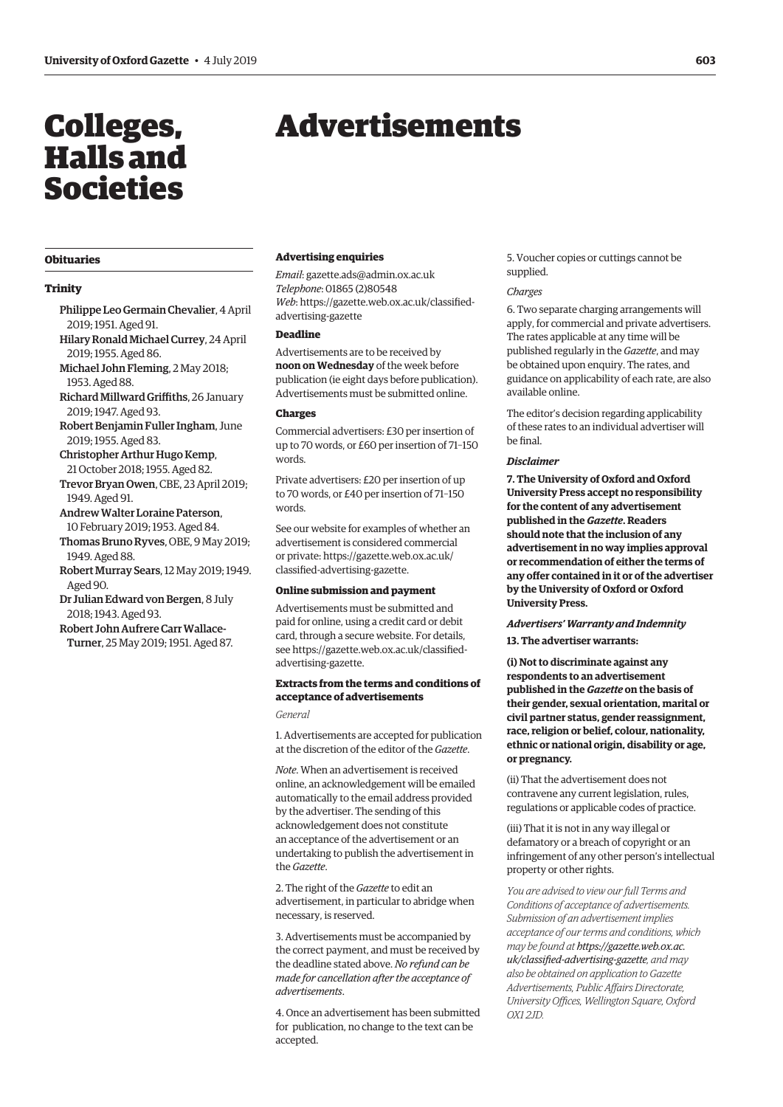## <span id="page-4-0"></span>Colleges, Halls and Societies

## Advertisements

#### **Obituaries**

#### **Trinity**

- Philippe Leo Germain Chevalier, 4 April 2019; 1951. Aged 91.
- Hilary Ronald Michael Currey, 24 April 2019; 1955. Aged 86.
- Michael John Fleming, 2 May 2018; 1953. Aged 88.
- Richard Millward Griffiths, 26 January 2019; 1947. Aged 93.
- Robert Benjamin Fuller Ingham, June 2019; 1955. Aged 83.
- Christopher Arthur Hugo Kemp, 21 October 2018; 1955. Aged 82.
- Trevor Bryan Owen, CBE, 23 April 2019; 1949. Aged 91.
- Andrew Walter Loraine Paterson, 10 February 2019; 1953. Aged 84.
- Thomas Bruno Ryves, OBE, 9 May 2019; 1949. Aged 88.
- Robert Murray Sears, 12 May 2019; 1949. Aged 90.
- Dr Julian Edward von Bergen, 8 July 2018; 1943. Aged 93.
- Robert John Aufrere Carr Wallace-Turner, 25 May 2019; 1951. Aged 87.

#### **Advertising enquiries**

*Email*: [gazette.ads@admin.ox.ac.uk](mailto:gazette.ads@admin.ox.ac.uk) *Telephone*: 01865 (2)80548 *Web*[: https://gazette.web.ox.ac.uk/classified](www.gazette.web.ox.ac.uk/classified-advertising-gazette)advertising-gazette

#### **Deadline**

Advertisements are to be received by **noon on Wednesday** of the week before publication (ie eight days before publication). Advertisements must be submitted online.

#### **Charges**

Commercial advertisers: £30 per insertion of up to 70 words, or £60 per insertion of 71–150 words.

Private advertisers: £20 per insertion of up to 70 words, or £40 per insertion of 71–150 words.

See our website for examples of whether an advertisement is considered commercial [or private: https://gazette.web.ox.ac.uk/](www.gazette.web.ox.ac.uk/classified-advertising-gazette) classified-advertising-gazette.

#### **Online submission and payment**

Advertisements must be submitted and paid for online, using a credit card or debit card, through a secure website. For details, [see https://gazette.web.ox.ac.uk/classified](www.gazette.web.ox.ac.uk/classified-advertising-gazette)advertising-gazette.

#### **Extracts from the terms and conditions of acceptance of advertisements**

*General*

1. Advertisements are accepted for publication at the discretion of the editor of the *Gazette*.

*Note*. When an advertisement is received online, an acknowledgement will be emailed automatically to the email address provided by the advertiser. The sending of this acknowledgement does not constitute an acceptance of the advertisement or an undertaking to publish the advertisement in the *Gazette*.

2. The right of the *Gazette* to edit an advertisement, in particular to abridge when necessary, is reserved.

3. Advertisements must be accompanied by the correct payment, and must be received by the deadline stated above. *No refund can be made for cancellation after the acceptance of advertisements*.

4. Once an advertisement has been submitted for publication, no change to the text can be accepted.

5. Voucher copies or cuttings cannot be supplied.

#### *Charges*

6. Two separate charging arrangements will apply, for commercial and private advertisers. The rates applicable at any time will be published regularly in the *Gazette*, and may be obtained upon enquiry. The rates, and guidance on applicability of each rate, are also available online.

The editor's decision regarding applicability of these rates to an individual advertiser will be final.

#### *Disclaimer*

**7. The University of Oxford and Oxford University Press accept no responsibility for the content of any advertisement published in the** *Gazette***. Readers should note that the inclusion of any advertisement in no way implies approval or recommendation of either the terms of any offer contained in it or of the advertiser by the University of Oxford or Oxford University Press.**

#### *Advertisers' Warranty and Indemnity*

**13. The advertiser warrants:**

**(i) Not to discriminate against any respondents to an advertisement published in the** *Gazette* **on the basis of their gender, sexual orientation, marital or civil partner status, gender reassignment, race, religion or belief, colour, nationality, ethnic or national origin, disability or age, or pregnancy.**

(ii) That the advertisement does not contravene any current legislation, rules, regulations or applicable codes of practice.

(iii) That it is not in any way illegal or defamatory or a breach of copyright or an infringement of any other person's intellectual property or other rights.

*You are advised to view our full Terms and Conditions of acceptance of advertisements. Submission of an advertisement implies acceptance of our terms and conditions, which may be found at https://gazette.web.ox.ac. [uk/classified-advertising-gazette](www.gazette.web.ox.ac.uk/classified-advertising-gazette), and may also be obtained on application to Gazette Advertisements, Public Affairs Directorate, University Offices, Wellington Square, Oxford OX1 2JD.*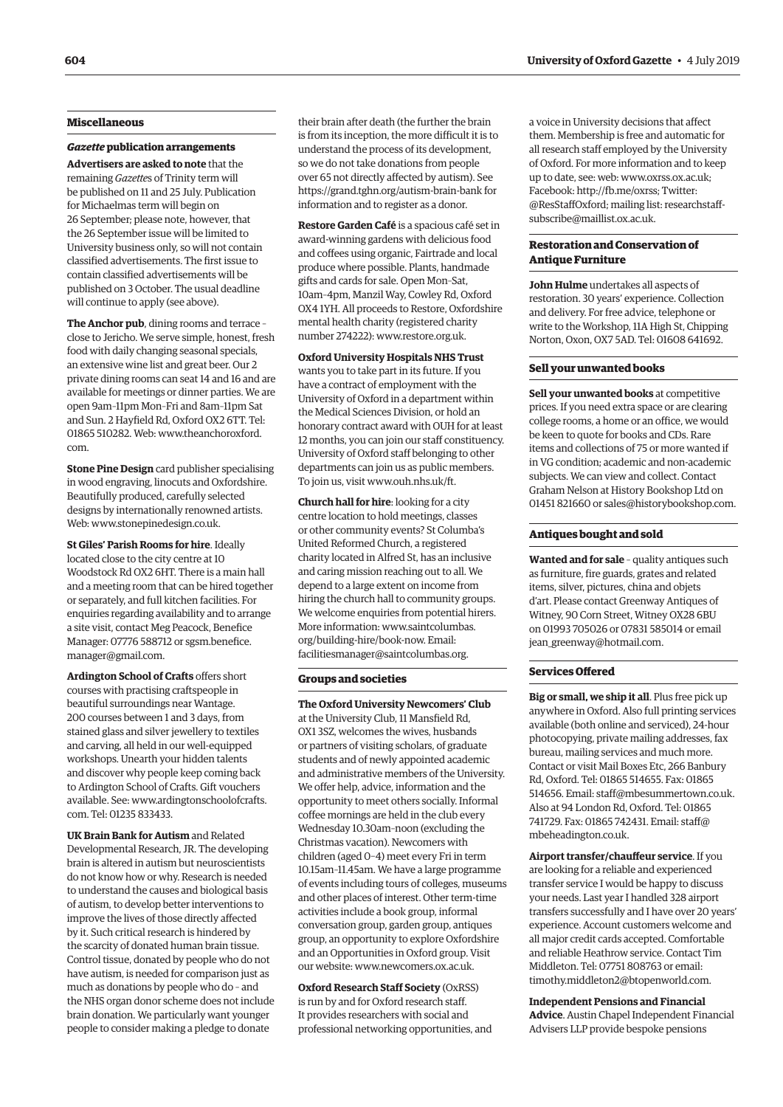#### **Miscellaneous**

#### *Gazette* **publication arrangements**

**Advertisers are asked to note** that the remaining *Gazette*s of Trinity term will be published on 11 and 25 July. Publication for Michaelmas term will begin on 26 September; please note, however, that the 26 September issue will be limited to University business only, so will not contain classified advertisements. The first issue to contain classified advertisements will be published on 3 October. The usual deadline will continue to apply (see above).

**The Anchor pub**, dining rooms and terrace – close to Jericho. We serve simple, honest, fresh food with daily changing seasonal specials, an extensive wine list and great beer. Our 2 private dining rooms can seat 14 and 16 and are available for meetings or dinner parties. We are open 9am–11pm Mon–Fri and 8am–11pm Sat and Sun. 2 Hayfield Rd, Oxford OX2 6TT. Tel: 01865 510282. Web: [www.theanchoroxford.](http://www.theanchoroxford.com) [com.](http://www.theanchoroxford.com)

**Stone Pine Design** card publisher specialising in wood engraving, linocuts and Oxfordshire. Beautifully produced, carefully selected designs by internationally renowned artists. Web: [www.stonepinedesign.co.uk](http://www.stonepinedesign.co.uk).

**St Giles' Parish Rooms for hire**. Ideally located close to the city centre at 10 Woodstock Rd OX2 6HT. There is a main hall and a meeting room that can be hired together or separately, and full kitchen facilities. For enquiries regarding availability and to arrange a site visit, contact Meg Peacock, Benefice Manager: 07776 588712 or [sgsm.benefice.](mailto:sgsm.benefice.manager@gmail.com) [manager@gmail.com.](mailto:sgsm.benefice.manager@gmail.com)

**Ardington School of Crafts** offers short courses with practising craftspeople in beautiful surroundings near Wantage. 200 courses between 1 and 3 days, from stained glass and silver jewellery to textiles and carving, all held in our well-equipped workshops. Unearth your hidden talents and discover why people keep coming back to Ardington School of Crafts. Gift vouchers available. See: [www.ardingtonschoolofcrafts.](http://www.ardingtonschoolofcrafts.com) [com.](http://www.ardingtonschoolofcrafts.com) Tel: 01235 833433.

**UK Brain Bank for Autism** and Related Developmental Research, JR. The developing brain is altered in autism but neuroscientists do not know how or why. Research is needed to understand the causes and biological basis of autism, to develop better interventions to improve the lives of those directly affected by it. Such critical research is hindered by the scarcity of donated human brain tissue. Control tissue, donated by people who do not have autism, is needed for comparison just as much as donations by people who do – and the NHS organ donor scheme does not include brain donation. We particularly want younger people to consider making a pledge to donate

their brain after death (the further the brain is from its inception, the more difficult it is to understand the process of its development, so we do not take donations from people over 65 not directly affected by autism). See <https://grand.tghn.org/autism-brain-bank>for information and to register as a donor.

**Restore Garden Café** is a spacious café set in award-winning gardens with delicious food and coffees using organic, Fairtrade and local produce where possible. Plants, handmade gifts and cards for sale. Open Mon–Sat, 10am–4pm, Manzil Way, Cowley Rd, Oxford OX4 1YH. All proceeds to Restore, Oxfordshire mental health charity (registered charity number 274222): [www.restore.org.uk.](http://www.restore.org.uk)

**Oxford University Hospitals NHS Trust**  wants you to take part in its future. If you have a contract of employment with the University of Oxford in a department within the Medical Sciences Division, or hold an honorary contract award with OUH for at least 12 months, you can join our staff constituency. University of Oxford staff belonging to other departments can join us as public members. To join us, visit [www.ouh.nhs.uk/ft](http://www.ouh.nhs.uk/ft).

**Church hall for hire**: looking for a city centre location to hold meetings, classes or other community events? St Columba's United Reformed Church, a registered charity located in Alfred St, has an inclusive and caring mission reaching out to all. We depend to a large extent on income from hiring the church hall to community groups. We welcome enquiries from potential hirers. More information: [www.saintcolumbas.](http://www.saintcolumbas.org/building-hire/book-now) [org/building-hire/book-now](http://www.saintcolumbas.org/building-hire/book-now). Email: [facilitiesmanager@saintcolumbas.org.](mailto:facilitiesmanager@saintcolumbas.org)

#### **Groups and societies**

**The Oxford University Newcomers' Club** at the University Club, 11 Mansfield Rd, OX1 3SZ, welcomes the wives, husbands or partners of visiting scholars, of graduate students and of newly appointed academic and administrative members of the University. We offer help, advice, information and the opportunity to meet others socially. Informal coffee mornings are held in the club every Wednesday 10.30am–noon (excluding the Christmas vacation). Newcomers with children (aged 0–4) meet every Fri in term 10.15am–11.45am. We have a large programme of events including tours of colleges, museums and other places of interest. Other term-time activities include a book group, informal conversation group, garden group, antiques group, an opportunity to explore Oxfordshire and an Opportunities in Oxford group. Visit our website: [www.newcomers.ox.ac.uk](http://www.newcomers.ox.ac.uk).

**Oxford Research Staff Society** (OxRSS) is run by and for Oxford research staff. It provides researchers with social and professional networking opportunities, and a voice in University decisions that affect them. Membership is free and automatic for all research staff employed by the University of Oxford. For more information and to keep up to date, see: web: [www.oxrss.ox.ac.uk](http://www.oxrss.ox.ac.uk); Facebook: <http://fb.me/oxrss>; Twitter: @ResStaffOxford; mailing list: [researchstaff](mailto:researchstaff-subscribe@maillist.ox.ac.uk)[subscribe@maillist.ox.ac.uk](mailto:researchstaff-subscribe@maillist.ox.ac.uk).

#### **Restoration and Conservation of Antique Furniture**

**John Hulme** undertakes all aspects of restoration. 30 years' experience. Collection and delivery. For free advice, telephone or write to the Workshop, 11A High St, Chipping Norton, Oxon, OX7 5AD. Tel: 01608 641692.

#### **Sell your unwanted books**

**Sell your unwanted books** at competitive prices. If you need extra space or are clearing college rooms, a home or an office, we would be keen to quote for books and CDs. Rare items and collections of 75 or more wanted if in VG condition; academic and non-academic subjects. We can view and collect. Contact Graham Nelson at History Bookshop Ltd on 01451 821660 or [sales@historybookshop.com](mailto:sales@historybookshop.com).

#### **Antiques bought and sold**

**Wanted and for sale** – quality antiques such as furniture, fire guards, grates and related items, silver, pictures, china and objets d'art. Please contact Greenway Antiques of Witney, 90 Corn Street, Witney OX28 6BU on 01993 705026 or 07831 585014 or email [jean\\_greenway@hotmail.com](mailto:jean_greenway@hotmail.com).

#### **Services Offered**

**Big or small, we ship it all**. Plus free pick up anywhere in Oxford. Also full printing services available (both online and serviced), 24-hour photocopying, private mailing addresses, fax bureau, mailing services and much more. Contact or visit Mail Boxes Etc, 266 Banbury Rd, Oxford. Tel: 01865 514655. Fax: 01865 514656. Email: [staff@mbesummertown.co.uk](mailto:staff@mbesummertown.co.uk). Also at 94 London Rd, Oxford. Tel: 01865 741729. Fax: 01865 742431. Email: [staff@](mailto:staff@mbeheadington.co.uk) [mbeheadington.co.uk.](mailto:staff@mbeheadington.co.uk)

**Airport transfer/chauffeur service**. If you are looking for a reliable and experienced transfer service I would be happy to discuss your needs. Last year I handled 328 airport transfers successfully and I have over 20 years' experience. Account customers welcome and all major credit cards accepted. Comfortable and reliable Heathrow service. Contact Tim Middleton. Tel: 07751 808763 or email: [timothy.middleton2@btopenworld.com](mailto:timothy.middleton2@btopenworld.com).

**Independent Pensions and Financial Advice**. Austin Chapel Independent Financial Advisers LLP provide bespoke pensions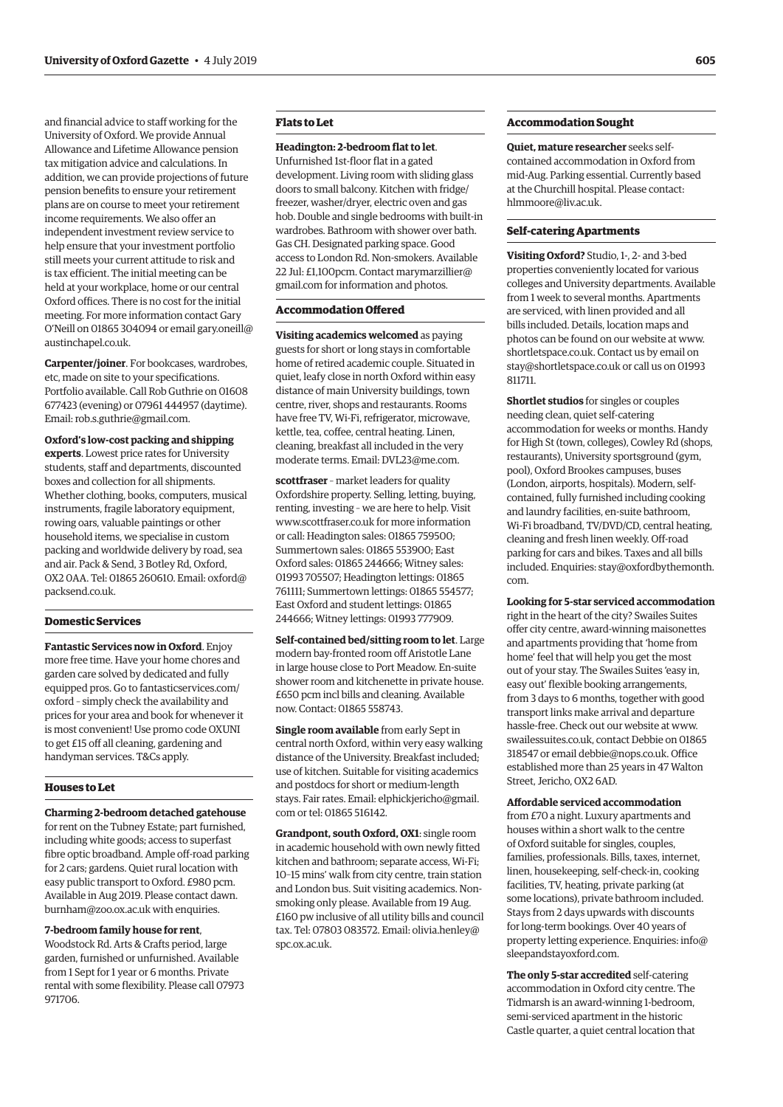and financial advice to staff working for the University of Oxford. We provide Annual Allowance and Lifetime Allowance pension tax mitigation advice and calculations. In addition, we can provide projections of future pension benefits to ensure your retirement plans are on course to meet your retirement income requirements. We also offer an independent investment review service to help ensure that your investment portfolio still meets your current attitude to risk and is tax efficient. The initial meeting can be held at your workplace, home or our central Oxford offices. There is no cost for the initial meeting. For more information contact Gary O'Neill on 01865 304094 or email [gary.oneill@](mailto:gary.oneill@austinchapel.co.uk) [austinchapel.co.uk.](mailto:gary.oneill@austinchapel.co.uk)

**Carpenter/joiner**. For bookcases, wardrobes, etc, made on site to your specifications. Portfolio available. Call Rob Guthrie on 01608 677423 (evening) or 07961 444957 (daytime). Email: [rob.s.guthrie@gmail.com.](mailto:rob.s.guthrie@gmail.com)

**Oxford's low-cost packing and shipping experts**. Lowest price rates for University students, staff and departments, discounted boxes and collection for all shipments. Whether clothing, books, computers, musical instruments, fragile laboratory equipment, rowing oars, valuable paintings or other household items, we specialise in custom packing and worldwide delivery by road, sea and air. Pack & Send, 3 Botley Rd, Oxford, OX2 0AA. Tel: 01865 260610. Email: [oxford@](mailto:oxford@packsend.co.uk) [packsend.co.uk](mailto:oxford@packsend.co.uk).

#### **Domestic Services**

**Fantastic Services now in Oxford**. Enjoy more free time. Have your home chores and garden care solved by dedicated and fully equipped pros. Go to [fantasticservices.com/](http://fantasticservices.com/oxford) [oxford](http://fantasticservices.com/oxford) – simply check the availability and prices for your area and book for whenever it is most convenient! Use promo code OXUNI to get £15 off all cleaning, gardening and handyman services. T&Cs apply.

#### **Houses to Let**

**Charming 2-bedroom detached gatehouse** for rent on the Tubney Estate; part furnished, including white goods; access to superfast fibre optic broadband. Ample off-road parking for 2 cars; gardens. Quiet rural location with easy public transport to Oxford. £980 pcm. Available in Aug 2019. Please contact [dawn.](mailto:dawn.burnham@zoo.ox.ac.uk) [burnham@zoo.ox.ac.uk](mailto:dawn.burnham@zoo.ox.ac.uk) with enquiries.

#### **7-bedroom family house for rent**,

Woodstock Rd. Arts & Crafts period, large garden, furnished or unfurnished. Available from 1 Sept for 1 year or 6 months. Private rental with some flexibility. Please call 07973 971706.

#### **Flats to Let**

#### **Headington: 2-bedroom flat to let**.

Unfurnished 1st-floor flat in a gated development. Living room with sliding glass doors to small balcony. Kitchen with fridge/ freezer, washer/dryer, electric oven and gas hob. Double and single bedrooms with built-in wardrobes. Bathroom with shower over bath. Gas CH. Designated parking space. Good access to London Rd. Non-smokers. Available 22 Jul: £1,100pcm. Contact [marymarzillier@](mailto:marymarzillier@gmail.com) [gmail.com](mailto:marymarzillier@gmail.com) for information and photos.

#### **Accommodation Offered**

**Visiting academics welcomed** as paying guests for short or long stays in comfortable home of retired academic couple. Situated in quiet, leafy close in north Oxford within easy distance of main University buildings, town centre, river, shops and restaurants. Rooms have free TV, Wi-Fi, refrigerator, microwave, kettle, tea, coffee, central heating. Linen, cleaning, breakfast all included in the very moderate terms. Email: [DVL23@me.com.](mailto:DVL23@me.com)

**scottfraser** – market leaders for quality Oxfordshire property. Selling, letting, buying, renting, investing – we are here to help. Visit [www.scottfraser.co.uk](http://www.scottfraser.co.uk) for more information or call: Headington sales: 01865 759500; Summertown sales: 01865 553900; East Oxford sales: 01865 244666; Witney sales: 01993 705507; Headington lettings: 01865 761111; Summertown lettings: 01865 554577; East Oxford and student lettings: 01865 244666; Witney lettings: 01993 777909.

**Self-contained bed/sitting room to let**. Large modern bay-fronted room off Aristotle Lane in large house close to Port Meadow. En-suite shower room and kitchenette in private house. £650 pcm incl bills and cleaning. Available now. Contact: 01865 558743.

**Single room available** from early Sept in central north Oxford, within very easy walking distance of the University. Breakfast included; use of kitchen. Suitable for visiting academics and postdocs for short or medium-length stays. Fair rates. Email: [elphickjericho@gmail.](mailto:elphickjericho@gmail.com) [com](mailto:elphickjericho@gmail.com) or tel: 01865 516142.

**Grandpont, south Oxford, OX1**: single room in academic household with own newly fitted kitchen and bathroom; separate access, Wi-Fi; 10–15 mins' walk from city centre, train station and London bus. Suit visiting academics. Nonsmoking only please. Available from 19 Aug. £160 pw inclusive of all utility bills and council [tax. Tel: 07803 083572. Email: olivia.henley@](mailto:olivia.henley@spc.ox.ac.uk) spc.ox.ac.uk.

#### **Accommodation Sought**

**Quiet, mature researcher** seeks selfcontained accommodation in Oxford from mid-Aug. Parking essential. Currently based at the Churchill hospital. Please contact: [hlmmoore@liv.ac.uk](mailto:hlmmoore@liv.ac.uk).

#### **Self-catering Apartments**

**Visiting Oxford?** Studio, 1-, 2- and 3-bed properties conveniently located for various colleges and University departments. Available from 1 week to several months. Apartments are serviced, with linen provided and all bills included. Details, location maps and photos can be found on our website at [www.](http://www.shortletspace.co.uk) [shortletspace.co.uk](http://www.shortletspace.co.uk). Contact us by email on [stay@shortletspace.co.uk](mailto:stay@shortletspace.co.uk) or call us on 01993 811711.

**Shortlet studios** for singles or couples needing clean, quiet self-catering accommodation for weeks or months. Handy for High St (town, colleges), Cowley Rd (shops, restaurants), University sportsground (gym, pool), Oxford Brookes campuses, buses (London, airports, hospitals). Modern, selfcontained, fully furnished including cooking and laundry facilities, en-suite bathroom, Wi-Fi broadband, TV/DVD/CD, central heating, cleaning and fresh linen weekly. Off-road parking for cars and bikes. Taxes and all bills included. Enquiries: [stay@oxfordbythemonth.](mailto:stay@oxfordbythemonth.com) [com](mailto:stay@oxfordbythemonth.com).

**Looking for 5-star serviced accommodation** right in the heart of the city? Swailes Suites offer city centre, award-winning maisonettes and apartments providing that 'home from home' feel that will help you get the most out of your stay. The Swailes Suites 'easy in, easy out' flexible booking arrangements, from 3 days to 6 months, together with good transport links make arrival and departure hassle-free. Check out our website at [www.](http://www.swailessuites.co.uk) [swailessuites.co.uk](http://www.swailessuites.co.uk), contact Debbie on 01865 318547 or email [debbie@nops.co.uk](mailto:debbie@nops.co.uk). Office established more than 25 years in 47 Walton Street, Jericho, OX2 6AD.

#### **Affordable serviced accommodation**

from £70 a night. Luxury apartments and houses within a short walk to the centre of Oxford suitable for singles, couples, families, professionals. Bills, taxes, internet, linen, housekeeping, self-check-in, cooking facilities, TV, heating, private parking (at some locations), private bathroom included. Stays from 2 days upwards with discounts for long-term bookings. Over 40 years of property letting experience. Enquiries: [info@](mailto:info@sleepandstayoxford.com) [sleepandstayoxford.com](mailto:info@sleepandstayoxford.com).

**The only 5-star accredited** self-catering accommodation in Oxford city centre. The Tidmarsh is an award-winning 1-bedroom, semi-serviced apartment in the historic Castle quarter, a quiet central location that